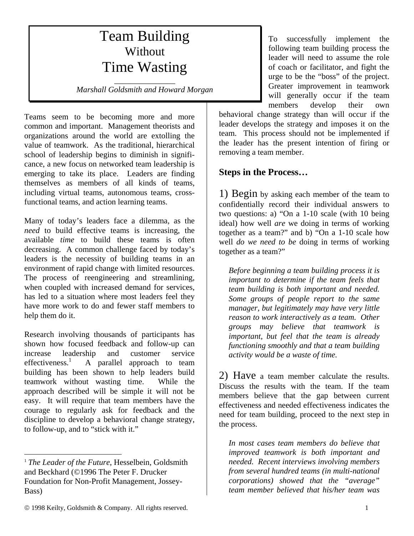## Team Building Without Time Wasting \_\_\_\_\_\_\_\_\_\_\_\_\_\_\_

*Marshall Goldsmith and Howard Morgan*

Teams seem to be becoming more and more common and important. Management theorists and organizations around the world are extolling the value of teamwork. As the traditional, hierarchical school of leadership begins to diminish in significance, a new focus on networked team leadership is emerging to take its place. Leaders are finding themselves as members of all kinds of teams, including virtual teams, autonomous teams, crossfunctional teams, and action learning teams.

Many of today's leaders face a dilemma, as the *need* to build effective teams is increasing, the available *time* to build these teams is often decreasing. A common challenge faced by today's leaders is the necessity of building teams in an environment of rapid change with limited resources. The process of reengineering and streamlining, when coupled with increased demand for services, has led to a situation where most leaders feel they have more work to do and fewer staff members to help them do it.

Research involving thousands of participants has shown how focused feedback and follow-up can increase leadership and customer service  $effectiveness.<sup>1</sup>$  $effectiveness.<sup>1</sup>$  $effectiveness.<sup>1</sup>$  A parallel approach to team building has been shown to help leaders build teamwork without wasting time. While the approach described will be simple it will not be easy. It will require that team members have the courage to regularly ask for feedback and the discipline to develop a behavioral change strategy, to follow-up, and to "stick with it."

 $\overline{a}$ 

To successfully implement the following team building process the leader will need to assume the role of coach or facilitator, and fight the urge to be the "boss" of the project. Greater improvement in teamwork will generally occur if the team members develop their own

behavioral change strategy than will occur if the leader develops the strategy and imposes it on the team. This process should not be implemented if the leader has the present intention of firing or removing a team member.

## **Steps in the Process…**

1) Begin by asking each member of the team to confidentially record their individual answers to two questions: a) "On a 1-10 scale (with 10 being ideal) how well *are* we doing in terms of working together as a team?" and b) "On a 1-10 scale how well *do we need to be* doing in terms of working together as a team?"

*Before beginning a team building process it is important to determine if the team feels that team building is both important and needed. Some groups of people report to the same manager, but legitimately may have very little reason to work interactively as a team. Other groups may believe that teamwork is important, but feel that the team is already functioning smoothly and that a team building activity would be a waste of time.* 

2) Have a team member calculate the results. Discuss the results with the team. If the team members believe that the gap between current effectiveness and needed effectiveness indicates the need for team building, proceed to the next step in the process.

*In most cases team members do believe that improved teamwork is both important and needed. Recent interviews involving members from several hundred teams (in multi-national corporations) showed that the "average" team member believed that his/her team was* 

<span id="page-0-0"></span><sup>&</sup>lt;sup>1</sup> *The Leader of the Future*, Hesselbein, Goldsmith and Beckhard (©1996 The Peter F. Drucker Foundation for Non-Profit Management, Jossey-Bass)

<sup>©</sup> 1998 Keilty, Goldsmith & Company. All rights reserved. 1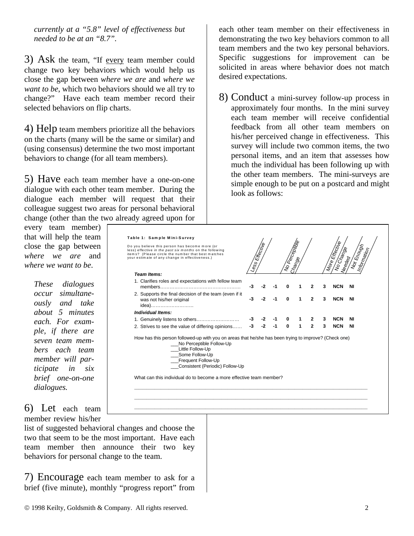*currently at a "5.8" level of effectiveness but needed to be at an "8.7".* 

3) Ask the team, "If every team member could change two key behaviors which would help us close the gap between *where we are* and *where we want to be*, which two behaviors should we all try to change?" Have each team member record their selected behaviors on flip charts.

4) Help team members prioritize all the behaviors on the charts (many will be the same or similar) and (using consensus) determine the two most important behaviors to change (for all team members).

5) Have each team member have a one-on-one dialogue with each other team member. During the dialogue each member will request that their colleague suggest two areas for personal behavioral change (other than the two already agreed upon for

each other team member on their effectiveness in demonstrating the two key behaviors common to all team members and the two key personal behaviors. Specific suggestions for improvement can be solicited in areas where behavior does not match desired expectations.

8) Conduct a mini-survey follow-up process in approximately four months. In the mini survey each team member will receive confidential feedback from all other team members on his/her perceived change in effectiveness. This survey will include two common items, the two personal items, and an item that assesses how much the individual has been following up with the other team members. The mini-surveys are simple enough to be put on a postcard and might look as follows:

every team member) that will help the team close the gap between *where we are* and *where we want to be*.

> *These dialogues occur simultaneously and take about 5 minutes each. For example, if there are seven team members each team member will participate in six brief one-on-one dialogues.*

| Table 1: Sample Mini-Survey<br>Do you believe this person has become more (or                                                                                                                                                    |                |  |  |                           |   |                |                                                                    |            |    |  |
|----------------------------------------------------------------------------------------------------------------------------------------------------------------------------------------------------------------------------------|----------------|--|--|---------------------------|---|----------------|--------------------------------------------------------------------|------------|----|--|
| less) effective in the past six months on the following<br>items? (Please circle the number that best matches<br>your estimate of any change in effectiveness.)                                                                  | Less Effective |  |  | I No Percepting<br>Change |   |                | More Effective<br>Not Enough<br>No Change<br>Information<br>Veeded |            |    |  |
| Team Items:                                                                                                                                                                                                                      |                |  |  |                           |   |                |                                                                    |            |    |  |
| 1. Clarifies roles and expectations with fellow team<br>members                                                                                                                                                                  |                |  |  | 0                         |   | 2              | 3                                                                  | <b>NCN</b> | ΝI |  |
| 2. Supports the final decision of the team (even if it<br>was not his/her original<br>idea)                                                                                                                                      | -3             |  |  | 0                         | 1 | $\overline{2}$ | 3                                                                  | NCN        | ΝI |  |
| Individual Items:                                                                                                                                                                                                                |                |  |  |                           |   |                |                                                                    |            |    |  |
| 1. Genuinely listens to others                                                                                                                                                                                                   |                |  |  |                           |   | 2              |                                                                    | NCN        | NI |  |
| 2. Strives to see the value of differing opinions                                                                                                                                                                                |                |  |  | 0                         | 1 | $\overline{2}$ | 3                                                                  | NCN        | ΝI |  |
| How has this person followed-up with you on areas that he/she has been trying to improve? (Check one)<br>No Perceptible Follow-Up<br>Little Follow-Up<br>Some Follow-Up<br>Frequent Follow-Up<br>Consistent (Periodic) Follow-Up |                |  |  |                           |   |                |                                                                    |            |    |  |
| What can this individual do to become a more effective team member?                                                                                                                                                              |                |  |  |                           |   |                |                                                                    |            |    |  |
|                                                                                                                                                                                                                                  |                |  |  |                           |   |                |                                                                    |            |    |  |
|                                                                                                                                                                                                                                  |                |  |  |                           |   |                |                                                                    |            |    |  |

6) Let each team

member review his/her list of suggested behavioral changes and choose the two that seem to be the most important. Have each

team member then announce their two key behaviors for personal change to the team.

7) Encourage each team member to ask for a brief (five minute), monthly "progress report" from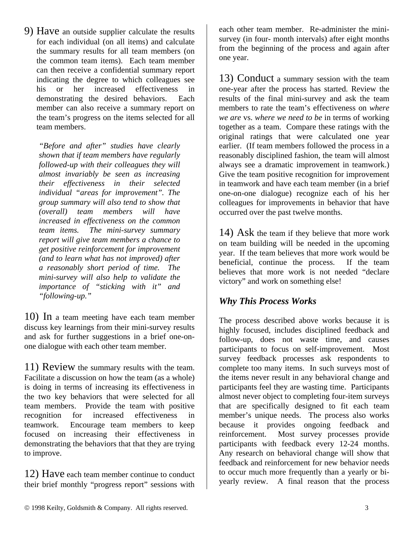9) Have an outside supplier calculate the results for each individual (on all items) and calculate the summary results for all team members (on the common team items). Each team member can then receive a confidential summary report indicating the degree to which colleagues see his or her increased effectiveness in demonstrating the desired behaviors. Each member can also receive a summary report on the team's progress on the items selected for all team members.

*"Before and after" studies have clearly shown that if team members have regularly followed-up with their colleagues they will almost invariably be seen as increasing their effectiveness in their selected individual "areas for improvement". The group summary will also tend to show that (overall) team members will have increased in effectiveness on the common team items. The mini-survey summary report will give team members a chance to get positive reinforcement for improvement (and to learn what has not improved) after a reasonably short period of time. The mini-survey will also help to validate the importance of "sticking with it" and "following-up."* 

10) In a team meeting have each team member discuss key learnings from their mini-survey results and ask for further suggestions in a brief one-onone dialogue with each other team member.

11) Review the summary results with the team. Facilitate a discussion on how the team (as a whole) is doing in terms of increasing its effectiveness in the two key behaviors that were selected for all team members. Provide the team with positive recognition for increased effectiveness in teamwork. Encourage team members to keep focused on increasing their effectiveness in demonstrating the behaviors that that they are trying to improve.

12) Have each team member continue to conduct their brief monthly "progress report" sessions with

each other team member. Re-administer the minisurvey (in four- month intervals) after eight months from the beginning of the process and again after one year.

13) Conduct a summary session with the team one-year after the process has started. Review the results of the final mini-survey and ask the team members to rate the team's effectiveness on *where we are* vs. *where we need to be* in terms of working together as a team. Compare these ratings with the original ratings that were calculated one year earlier. (If team members followed the process in a reasonably disciplined fashion, the team will almost always see a dramatic improvement in teamwork.) Give the team positive recognition for improvement in teamwork and have each team member (in a brief one-on-one dialogue) recognize each of his her colleagues for improvements in behavior that have occurred over the past twelve months.

14) Ask the team if they believe that more work on team building will be needed in the upcoming year. If the team believes that more work would be beneficial, continue the process. If the team believes that more work is not needed "declare victory" and work on something else!

## *Why This Process Works*

The process described above works because it is highly focused, includes disciplined feedback and follow-up, does not waste time, and causes participants to focus on self-improvement. Most survey feedback processes ask respondents to complete too many items. In such surveys most of the items never result in any behavioral change and participants feel they are wasting time. Participants almost never object to completing four-item surveys that are specifically designed to fit each team member's unique needs. The process also works because it provides ongoing feedback and reinforcement. Most survey processes provide participants with feedback every 12-24 months. Any research on behavioral change will show that feedback and reinforcement for new behavior needs to occur much more frequently than a yearly or biyearly review. A final reason that the process